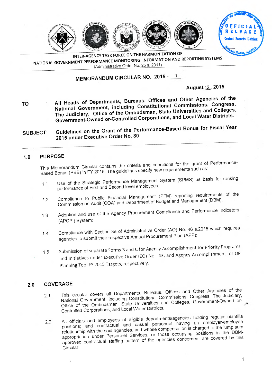

**INTER-AGENCY TASK FORCE ON THE HARMONIZATION OF NATIONAL GOVERNMENT PERFORMANCE MONITORING, INFORMATION AND REPORTING SYSTEMS**  (Administrative Order No. 25 s. 2011)

# **MEMORANDUM CIRCULAR NO. 2015 - j**

#### **August** 12 , **2015**

- **TO All Heads of Departments, Bureaus, Offices and Other Agencies of the National Government, including Constitutional Commissions, Congress, The Judiciary, Office of the Ombudsman, State Universities and Colleges, Government-Owned or-Controlled Corporations, and Local Water Districts.**
- **SUBJECT: Guidelines on the Grant of the Performance-Based Bonus for Fiscal Year 2015 under Executive Order No. 80**

#### **1.0 PURPOSE**

This Memorandum Circular contains the criteria and conditions for the grant of Performance-Based Bonus (PBB) in FY 2015. The guidelines specify new requirements such as:

- 1.1 Use of the Strategic Performance Management System (SPMS) as basis for ranking performance of First and Second level employees;
- 1.2 Compliance to Public Financial Management (PFM) reporting requirements of the Commission on Audit (COA) and Department of Budget and Management (DBM);
- 1.3 Adoption and use of the Agency Procurement Compliance and Performance Indicators (APCPI) System;
- 1.4 Compliance with Section 3e of Administrative Order (AO) No. 46 s.2015 which requires agencies to submit their respective Annual Procurement Plan (APP);
- 1.5 Submission of separate Forms B and C for Agency Accomplishment for Priority Programs and Initiatives under Executive Order (EO) No. 43, and Agency Accomplishment for OP Planning Tool FY 2015 Targets, respectively.

#### **2.0 COVERAGE**

- 2.1 This circular covers all Departments, Bureaus, Offices and Other Agencies of the National Government, including Constitutional Commissions, Congress, The Judiciary, Office of the Ombudsman, State Universities and Colleges, Government-Owned or-Controlled Corporations, and Local Water Districts.
- 2.2 All officials and employees of eligible departments/agencies holding regular plantilla positions; and contractual and casual personnel having an employer-employee relationship with the said agencies, and whose compensation is charged to the lump sum appropriation under Personnel Services, or those occupying positions in the DBMapproved contractual staffing pattern of the agencies concerned, are covered by this Circular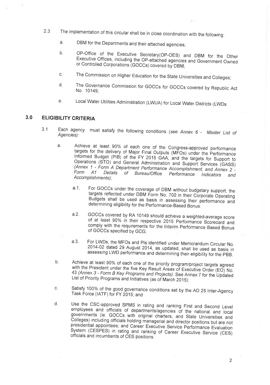- 2.3 The implementation of this circular shall be in close coordination with the following:
	- a. DBM for the Departments and their attached agencies;
	- b. OP-Office of the Executive Secretary(OP-OES) and DBM for the Other Executive Offices, including the OP-attached agencies and Government Owned or Controlled Corporations (GOCCs) covered by DBM;
	- c. The Commission on Higher Education for the State Universities and Colleges;
	- d. The Governance Commission for GOCCs for GOCCs covered by Republic Act No. 10149;
	- e. Local Water Utilities Administration (LWUA) for Local Water Districts (LWDs

### **3.0 ELIGIBILITY CRITERIA**

- 3.1 Each agency must satisfy the following conditions *(see Annex 6 Master List of Agencies):* 
	- a. Achieve at least 90% of each one of the Congress-approved performance targets for the delivery of Major Final Outputs (MF0s) under the Performance Informed Budget (PIB) of the FY 2015 GAA, and the targets for Support to Operations (STO) and General Administration and Support Services (GASS) *(Annex 1 - Form A Department Performance Accomplishment, and Annex 2 - Form Al Details of Bureau/Office Performance Indicators and Accomplishments);* 
		- a.1. For GOCCs under the coverage of DBM without budgetary support, the targets reflected under DBM Form No. 700 in their Corporate Operating Budgets shall be used as basis in assessing their performance and determining eligibility for the Performance-Based Bonus.
		- a.2. GOCCs covered by RA 10149 should achieve a weighted-average score of at least 90% in their respective 2015 Performance Scorecard and comply with the requirements for the Interim Performance Based Bonus of GOCCs specified by GCG;
		- a.3. For LWDs, the MFOs and Pls identified under Memorandum Circular No. 2014-02 dated 29 August 2014, as updated, shall be used as basis in assessing LWD performance and determining their eligibility for the PBB.
	- b. Achieve at least 90% of each one of the priority program/project targets agreed with the President under the five Key Result Areas of Executive Order (EO) No. <sup>43</sup>*(Annex 3 - Form B Key Programs and Projects).* See Annex 7 for the Updated List of Priority Programs and Initiatives (as of March 2015);
	- c. Satisfy 100% of the good governance conditions set by the AO 25 Inter-Agency Task Force (IATF) for FY 2015; and
	- d. Use the CSC-approved SPMS in rating and ranking First and Second Level employees and officials of departments/agencies of the national and local governments (ie. GOCCs with original charters, and State Universities and Colleges) including officials holding managerial and director positions but are not presidential appointees; and Career Executive Service Performance Evaluation System (CESPES) in rating and ranking of Career Executive Service (CES) officials and incumbents of CES positions.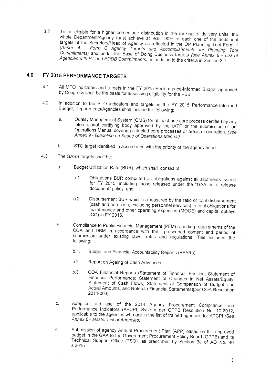3.2 To be eligible for a higher percentage distribution in the ranking of delivery units, the whole Department/Agency must achieve at least 90% of each one of the additional targets of the Secretary/Head of Agency as reflected in the OP Planning Tool Form 1 *(Annex 4 — Form* C *Agency Targets and Accomplishments for Planning Tool Commitments)* and under the Ease of Doing Business targets *(see Annex 8 - List of Agencies with PT and EODB Commitments),* in addition to the criteria in Section 3.1.

### **4.0 FY 2015 PERFORMANCE TARGETS**

- 4.1 All MFO indicators and targets in the FY 2015 Performance-Informed Budget approved by Congress shall be the basis for assessing eligibility for the PBB.
- 4.2 In addition to the STO indicators and targets in the FY 2015 Performance-Informed Budget, Departments/Agencies shall include the following:
	- a. Quality Management System (QMS) for at least one core process certified by any international certifying body approved by the IATF or the submission of an Operations Manual covering selected core processes or areas of operation. *(see Annex 9 - Guideline on Scope of Operations Manual)*
	- b. STO target identified in accordance with the priority of the agency head.
- 4.3 The GASS targets shall be:
	- a. Budget Utilization Rate (BUR), which shall consist of:
		- Obligations BUR computed as obligations against all allotments issued for FY 2015, including those released under the "GAA as a release document" policy; and a.1.
		- a.2. Disbursement BUR which is measured by the ratio of total disbursement (cash and non-cash, excluding personnel services) to total obligations for maintenance and other operating expenses (MOOE) and capital outlays (CO) in FY 2015.
	- b. Compliance to Public Financial Management (PFM) reporting requirements of the COA and DBM in accordance with the prescribed content and period of submission under existing laws, rules and regulations. This includes the following:
		- Budget and Financial Accountability Reports (BFARs) b.1.
		- b.2. Report on Ageing of Cash Advances
		- b.3. COA Financial Reports (Statement of Financial Position; Statement of Financial Performance; Statement of Changes in Net Assets/Equity; Statement of Cash Flows; Statement of Comparison of Budget and Actual Amounts; and Notes to Financial Statements)[per COA Resolution 2014-003].
	- c. Adoption and use of the 2014 Agency Procurement Compliance and Performance Indicators (APCPI) System per GPPB Resolution No. 10-2012, applicable to the agencies who are in the list of trained agencies for APCPI *(See Annex 6- Master List of Agencies).*
	- d. Submission of agency Annual Procurement Plan (APP) based on the approved budget in the GAA to the Government Procurement Policy Board (GPPB) and its Technical Support Office (TSO), as prescribed by Section 3e of AO No. 46 s.2015.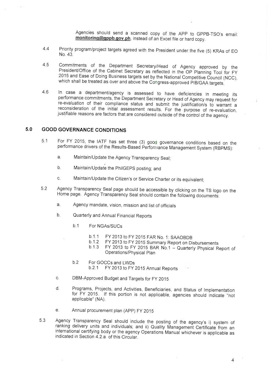Agencies should send a scanned copy of the APP to GPPB-TSO's email: monitoring@gppb.gov.ph, instead of an Excel file or hard copy.

- 4.4 Priority program/project targets agreed with the President under the five (5) KRAs of E0 No. 43.
- 4.5 Commitments of the Department Secretary/Head of Agency approved by the President/Office of the Cabinet Secretary as reflected in the OP Planning Tool for FY 2015 and Ease of Doing Business targets set by the National Competitive Council (NCC), which shall be treated as over and above the Congress-approved PIB/GAA targets.
- 4.6 In case a department/agency is assessed to have deficiencies in meeting its performance commitments, the Department Secretary or Head of Agency may request for re-evaluation of their compliance status and submit the justification/s to warrant a reconsideration of the initial assessment results. For the purpose of re-evaluation, justifiable reasons are factors that are considered outside of the control of the agency.

#### **5.0 GOOD GOVERNANCE CONDITIONS**

- 5.1 For FY 2015, the IATF has set three (3) good governance conditions based on the performance drivers of the Results-Based Performance Management System (RBPMS):
	- a. Maintain/Update the Agency Transparency Seal;
	- b. Maintain/Update the PhilGEPS posting; and
	- c. Maintain/Update the Citizen's or Service Charter or its equivalent;
- 5.2 Agency Transparency Seal page should be accessible by clicking on the TS logo on the Home page. Agency Transparency Seal should contain the following documents:
	- a. Agency mandate, vision, mission and list of officials
	- b. Quarterly and Annual Financial Reports
		- b.1 For NGAs/SUCs
			- b.1.1 FY 2013 to FY 2015 FAR No. 1: SAAOBDB
			- b.1.2 FY 2013 to FY 2015 Summary Report on Disbursements<br>b.1.3 FY 2013 to FY 2015 BAR No.1 Quarterly Physical B
			- FY 2013 to FY 2015 BAR No.1 Quarterly Physical Report of Operations/Physical Plan
		- b.2 For GOCCs and LWDs<br>b.2.1 FY 2013 to FY FY 2013 to FY 2015 Annual Reports
	- c. DBM-Approved Budget and Targets for FY 2015
	- d. Programs, Projects, and Activities, Beneficiaries, and Status of Implementation for FY 2015. If this portion is not applicable, agencies should indicate "not applicable" (NA).
	- e. Annual procurement plan (APP) FY 2015
- 5.3 Agency Transparency Seal should include the posting of the agency's i) system of ranking delivery units and individuals; and ii) Quality Management Certificate from an international certifying body or the agency Operations Manual whichever is applicable as indicated in Section 4.2.a of this Circular.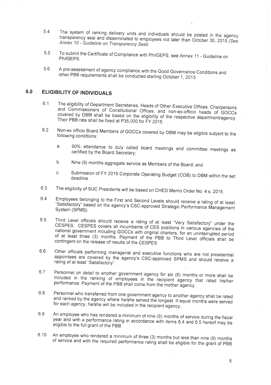- 5.4 The system of ranking delivery units and individuals should be posted in the agency transparency seal and disseminated to employees not later than October 30, 2015.(See *Annex 10- Guideline on Transparency Seal)*
- 5.5 To submit the Certificate of Compliance with PhilGEPS, see Annex 11 Guideline on PhilGEPS.
- 5.6 A pre-assessment of agency compliance with the Good Governance Conditions and other PBB requirements shall be conducted starting October 1, 2015.

### **6.0 ELIGIBILITY OF INDIVIDUALS**

- 6.1 The eligibility of Department Secretaries, Heads of Other Executive Offices, Chairpersons and Commissioners of Constitutional Offices, and non-ex-officio heads of GOCCs covered by DBM shall be based on the eligibility of the respective department/agency. Their PBB rate shall be fixed at P35,000 for FY 2015.
- 6.2 Non-ex officio Board Members of GOCCs covered by DBM may be eligible subject to the following conditions:
	- a. 90% attendance to duly called board meetings and committee meetings as certified by the Board Secretary;
	- b. Nine (9) months aggregate service as Members of the Board; and
	- c. Submission of FY 2015 Corporate Operating Budget (COB) to DBM within the set deadline.
- 6.3 The eligibility of SUC Presidents will be based on CHED Memo Order No. 4 s. 2015.
- 6.4 Employees belonging to the First and Second Levels should receive a rating of at least "Satisfactory" based on the agency's CSC-approved Strategic Performance Management System (SPMS).
- 6.5 Third Level officials should receive a rating of at least "Very Satisfactory" under the CESPES. CESPES covers all incumbents of CES positions in various agencies of the national government including GOCCs with original charters, for an uninterrupted period of at least three (3) months. Payment of the PBB to Third Level officials shall be contingent on the release of results of the CESPES.
- 6.6 Other officials performing managerial and executive functions who are not presidential appointees are covered by the agency's CSC-approved SPMS and should receive a rating of at least "Satisfactory".
- 6.7 Personnel on detail to another government agency for six (6) months or more shall be included in the ranking of employees in the recipient agency that rated his/her performance. Payment of the PBB shall come from the mother agency.
- 6.8 Personnel who transferred from one government agency to another agency shall be rated and ranked by the agency where he/she served the longest. If equal months were served for each agency, he/she will be included in the recipient agency.
- 6.9 An employee who has rendered a minimum of nine (9) months of service during the fiscal year and with a performance rating in accordance with items 6.4 and 6.5 hereof may be eligible to the full grant of the PBB.
- 6.10 An employee who rendered a minimum of three (3) months but less than nine (9) months of service and with the required performance rating shall be eligible for the grant of PBB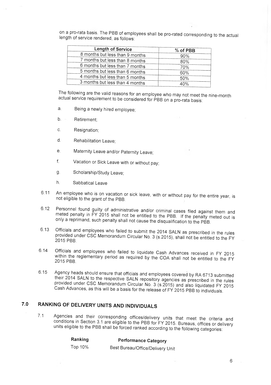on a pro-rata basis. The PBB of employees shall be pro-rated corresponding to the actual length of service rendered, as follows:

| Length of Service               | % of PBB |
|---------------------------------|----------|
| 8 months but less than 9 months | 90%      |
| 7 months but less than 8 months | 80%      |
| 6 months but less than 7 months | 70%      |
| 5 months but less than 6 months | 60%      |
| 4 months but less than 5 months | 50%      |
| 3 months but less than 4 months | 40%      |

The following are the valid reasons for an employee who may not meet the nine-month actual service requirement to be considered for PBB on a pro-rata basis:

- a. Being a newly hired employee;
- b. Retirement;
- c. Resignation;
- d. Rehabilitation Leave;
- e. Maternity Leave and/or Paternity Leave;
- f. Vacation or Sick Leave with or without pay;
- g. Scholarship/Study Leave;
- h. Sabbatical Leave
- 6.11 An employee who is on vacation or sick leave, with or without pay for the entire year, is not eligible to the grant of the PBB.
- 6.12 Personnel found guilty of administrative and/or criminal cases filed against them and meted penalty in FY 2015 shall not be entitled to the PBB. If the penalty meted out is only a reprimand, such penalty shall not cause the disqualification to the PBB.
- 6.13 Officials and employees who failed to submit the 2014 SALN as prescribed in the rules provided under CSC Memorandum Circular No. 3 (s.2015), shall not be entitled to the FY 2015. PBB.
- 6.14 Officials and employees who failed to liquidate Cash Advances received in FY 2015 within the reglementary period as required by the COA shall not be entitled to the FY 2015 PBB.
- 6.15 Agency heads should ensure that officials and employees covered by RA 6713 submitted their 2014 SALN to the respective SALN repository agencies as prescribed in the rules provided under CSC Memorandum Circular No. 3 (s.2015) and also liquidated FY 2015 Cash Advances, as this will be a basis for the release of FY 2015 PBB to individuals.

## **7.0 RANKING OF DELIVERY UNITS AND INDIVIDUALS**

7.1 Agencies and their corresponding offices/delivery units that meet the criteria and conditions in Section 3.1 are eligible to the PBB for FY 2015. Bureaus, offices or delivery units eligible to the PBB shall be forced ranked according to the following categories:

| Ranking | <b>Performance Category</b> |
|---------|-----------------------------|
|---------|-----------------------------|

Top 10% Best Bureau/Office/Delivery Unit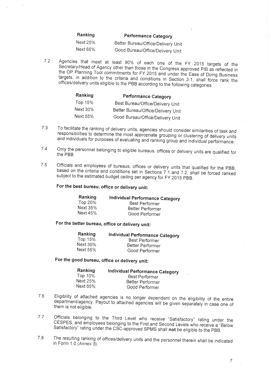| Ranking  | <b>Performance Category</b>        |  |
|----------|------------------------------------|--|
| Next 25% | Better Bureau/Office/Delivery Unit |  |
| Next 65% | Good Bureau/Office/Delivery Unit   |  |

7.2 Agencies that meet at least 90% of each one of the FY 2015 targets of the Secretary/Head of Agency other than those in the Congress approved PIB as reflected in the OP Planning Tool commitments for FY 2015 and under the Ease of Doing Business targets, in addition to the criteria and conditions in Section 3.1, shall force rank the offices/delivery units eligible to the PBB according to the following categories:

| Ranking  | <b>Performance Category</b>        |  |
|----------|------------------------------------|--|
| Top 15%  | Best Bureau/Office/Delivery Unit   |  |
| Next 30% | Better Bureau/Office/Delivery Unit |  |
| Next 55% | Good Bureau/Office/Delivery Unit   |  |

- 7.3 To facilitate the ranking of delivery units, agencies should consider similarities of task and responsibilities to determine the most appropriate grouping or clustering of delivery units and individuals for purposes of evaluating and ranking group and individual performance.
- 7.4 Only the personnel belonging to eligible bureaus, offices or delivery units are qualified for the PBB.
- 7.5 Officials and employees of bureaus, offices or delivery units that qualified for the PBB, based on the criteria and conditions set in Sections 7.1 and 7.2, shall be forced ranked subject to the estimated budget ceiling per agency for FY 2015 PBB.

### **For the best bureau, office or delivery unit:**

| Ranking  | Individual Performance Category |
|----------|---------------------------------|
| Top 20%  | Best Performer                  |
| Next 35% | Better Performer                |
| Next 45% | Good Performer                  |

### **For the better bureau, office or delivery unit:**

| Ranking         | Individual Performance Category |
|-----------------|---------------------------------|
| Top 15%         | Best Performer                  |
| <b>Next 30%</b> | Better Performer                |
| Next 55%        | Good Performer                  |

#### **For the good bureau, office or delivery unit:**

| Ranking  | Individual Performance Category |
|----------|---------------------------------|
| Top 10%  | Best Performer                  |
| Next 25% | Better Performer                |
| Next 65% | Good Performer                  |

- 7.6 Eligibility of attached agencies is no longer dependent on the eligibility of the entire department/agency. Payout to attached agencies will be given separately in case one of them is not eligible.
- 7.7 Officials belonging to the Third Level who receive "Satisfactory" rating under the CESPES, and employees belonging to the First and Second Levels who receive a "Below Satisfactory" rating under the CSC-approved SPMS shall **not** be eligible to the PBB.
- 7.8 The resulting ranking of offices/delivery units and the personnel therein shall be indicated in Form 1.0 *(Annex 5).*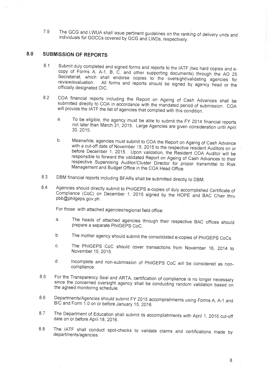7.9 The GCG and LWUA shall issue pertinent guidelines on the ranking of delivery units and individuals for GOCCs covered by GCG and LWDs, respectively.

### **8.0 SUBMISSION OF REPORTS**

- 8.1 Submit duly completed and signed forms and reports to the IATF (two hard copies and ecopy of Forms A, A-1, B, C, and other supporting documents) through the AO 25 Secretariat, which shall endorse copies to the oversight/validating agencies for<br>review/evaluation. All forms and reports should be sizend by agency to All forms and reports should be signed by agency head or the officially designated 010.
- 8.2 COA financial reports including the Report on Ageing of Cash Advances shall be submitted directly to COA in accordance with the mandated period of submission. COA will provide the IATF the list of agencies that complied with this condition.
	- a. To be eligible, the agency must be able to submit the FY 2014 financial reports not later than March 31, 2015. Large Agencies are given consideration until April 30, 2015.
	- b. Meanwhile, agencies must submit to COA the Report on Ageing of Cash Advance with a cut-off date of November 15, 2015 to the respective resident Auditors on or before December 1, 2015. Upon validation, the Resident COA Auditor will be responsible to forward the validated Report on Ageing of Cash Advances to their respective Supervising Auditor/Cluster Director for proper transmittal to Risk Management and Budget Office in the COA Head Office.
- 8.3 DBM financial reports including BFARs shall be submitted directly to DBM.
- 8.4 Agencies should directly submit to PhilGEPS e-copies of duly accomplished Certificate of Compliance (CoC) on December 1, 2015 signed by the HOPE and BAC Chair thru pbb@philgeps.gov.ph.

For those with attached agencies/regional field office:

- a. The heads of attached agencies through their respective BAC offices should prepare a separate PhilGEPS CoC.
- b. The mother agency should submit the consolidated e-copies of PhilGEPS CoCs.
- c. The PhilGEPS CoC should cover transactions from November 16, 2014 to November 15, 2015.
- Incomplete and non-submission of PhilGEPS CoC will be considered as nond. compliance.
- 8.5 For the Transparency Seal and ARTA, certification of compliance is no longer necessary since the concerned oversight agency shall be conducting random validation based on the agreed monitoring schedule.
- 8.6 Departments/Agencies should submit FY 2015 accomplishments using Forms A, A-1 and B/C and Form 1.0 on or before January 15, 2016.
- 8.7 The Department of Education shall submit its accomplishments with April 1, 2016 cut-off date on or before April 18, 2016.
- 8.8 The IATF shall conduct spot-checks to validate claims and certifications made by departments/agencies.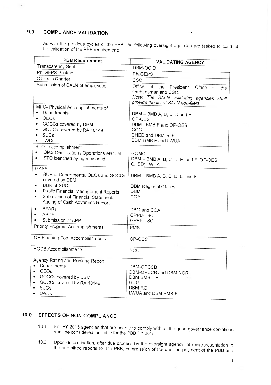## **9.0 COMPLIANCE VALIDATION**

 $\sim$   $\sim$ 

As with the previous cycles of the PBB, the following oversight agencies are tasked to conduct the validation of the PBB requirement;

| <b>PBB Requirement</b>                                                                                                                                                                                                                | <b>VALIDATING AGENCY</b>                                                                                                                                       |
|---------------------------------------------------------------------------------------------------------------------------------------------------------------------------------------------------------------------------------------|----------------------------------------------------------------------------------------------------------------------------------------------------------------|
| Transparency Seal                                                                                                                                                                                                                     | DBM-OCIO                                                                                                                                                       |
| PhilGEPS Posting                                                                                                                                                                                                                      | <b>PhilGEPS</b>                                                                                                                                                |
| Citizen's Charter                                                                                                                                                                                                                     | CSC                                                                                                                                                            |
| Submission of SALN of employees                                                                                                                                                                                                       | Office<br>of<br>the President,<br>Office<br>of<br>the<br>Ombudsman and CSC.<br>Note: The SALN validating agencies shall<br>provide the list of SALN non-filers |
| MFO- Physical Accomplishments of<br>Departments<br><b>OEOs</b><br>GOCCs covered by DBM<br>$\bullet$<br>GOCCs covered by RA 10149<br><b>SUCs</b><br>LWDs<br>$\bullet$<br>STO - accomplishment                                          | DBM - BMB A, B, C, D and E<br>OP-OES<br>DBM-BMB F and OP-OES<br>GCG<br>CHED and DBM-ROs<br>DBM-BMB F and LWUA                                                  |
| QMS Certification / Operations Manual<br>STO identified by agency head<br>$\bullet$                                                                                                                                                   | GQMC<br>DBM - BMB A, B, C, D, E and F; OP-OES;<br>CHED; LWUA                                                                                                   |
| <b>GASS</b><br>BUR of Departments, OEOs and GOCCs<br>$\bullet$<br>covered by DBM<br><b>BUR of SUCs</b><br>٠<br>Public Financial Management Reports<br>٠<br>Submission of Financial Statements,<br>٠<br>Ageing of Cash Advances Report | $DBM - BMB A$ , B, C, D, E and F<br><b>DBM Regional Offices</b><br><b>DBM</b><br><b>COA</b>                                                                    |
| <b>BFARs</b><br><b>APCPI</b><br>Submission of APP<br>Priority Program Accomplishments                                                                                                                                                 | DBM and COA<br>GPPB-TSO<br>GPPB-TSO<br><b>PMS</b>                                                                                                              |
| OP Planning Tool Accomplishments                                                                                                                                                                                                      | OP-OCS                                                                                                                                                         |
| <b>EODB Accomplishments</b>                                                                                                                                                                                                           | <b>NCC</b>                                                                                                                                                     |
| Agency Rating and Ranking Report<br>Departments<br>$\bullet$<br><b>OEOs</b><br>GOCCs covered by DBM<br>GOCCs covered by RA 10149<br><b>SUCs</b><br>LWDs                                                                               | DBM-OPCCB<br>DBM-OPCCB and DBM-NCR<br>DBM $BMB-F$<br>GCG<br>DBM-RO<br>LWUA and DBM BMB-F                                                                       |

### **10.0 EFFECTS OF NON-COMPLIANCE**

- 10.1 For FY 2015 agencies that are unable to comply with all the good governance conditions shall be considered ineligible for the PBB FY 2015.
- 10.2 Upon determination, after due process by the oversight agency, of misrepresentation in the submitted reports for the PBB, commission of fraud in the payment of the PBB and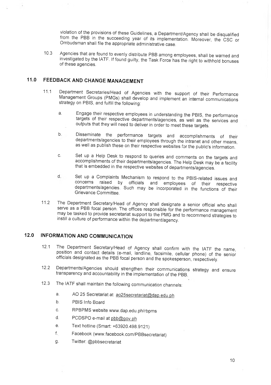violation of the provisions of these Guidelines, a Department/Agency shall be disqualified from the PBB in the succeeding year of its implementation. Moreover, the CSC or Ombudsman shall file the appropriate administrative case.

10.3 Agencies that are found to evenly distribute PBB among employees, shall be warned and investigated by the IATF. If found guilty, the Task Force has the right to withhold bonuses of these agencies.

### **11.0 FEEDBACK AND CHANGE MANAGEMENT**

- 11.1 Department Secretaries/Head of Agencies with the support of their Performance Management Groups (PMGs) shall develop and implement an internal communications strategy on PBIS, and fulfill the following:
	- a. Engage their respective employees in understanding the PBIS, the performance targets of their respective departments/agencies, as well as the services and outputs that they will need to deliver in order to meet these targets.
	- b. Disseminate the performance targets and accomplishments of their departments/agencies to their employees through the intranet and other means, as well as publish these on their respective websites for the public's information.
	- c. Set up a Help Desk to respond to queries and comments on the targets and accomplishments of their departments/agencies. The Help Desk may be a facility that is embedded in the respective websites of departments/agencies.
	- $d_{-}$ Set up a Complaints Mechanism to respond to the PBIS-related issues and concerns raised by officials and employees of their respective departments/agencies. Such may be incorporated in the functions of their Grievance Committee.
- 11.2 The Department Secretary/Head of Agency shall designate a senior official who shall serve as a PBB focal person. The offices responsible for the performance management may be tasked to provide secretariat support to the PMG and to recommend strategies to instill a culture of performance within the department/agency.

#### **12.0 INFORMATION AND COMMUNICATION**

- 12.1 The Department Secretary/Head of Agency shall confirm with the IATF the name, position and contact details (e-mail, landline, facsimile, cellular phone) of the senior officials designated as the PBB focal person and the spokesperson, respectively.
- 12.2 Departments/Agencies should strengthen their communications strategy and ensure transparency and accountability in the implementation of the PBB.
- 12.3 The IATF shall maintain the following communication channels:
	- a. AO 25 Secretariat at <u>ao25 secretariat@dap.edu.ph</u><br>b. PBIS Info Board
	-
	- c. RPBPMS website www.dap.edu.ph/rbpms
	-
	- d. PCDSPO e-mail at <u>pbb@gov.ph</u><br>e. Text hotline (Smart: +63920.498.9121)
	- f. Facebook (www.facebook.com/PBBsecretariat)
	- g. Twitter: @pbbsecretariat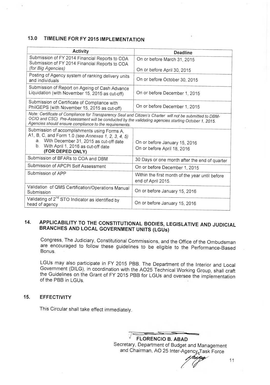## **13.0 TIMELINE FOR FY 2015 IMPLEMENTATION**

| <b>Activity</b>                                                                                                                                                                                                                                                            | Deadline                                                              |
|----------------------------------------------------------------------------------------------------------------------------------------------------------------------------------------------------------------------------------------------------------------------------|-----------------------------------------------------------------------|
| Submission of FY 2014 Financial Reports to COA<br>Submission of FY 2014 Financial Reports to COA                                                                                                                                                                           | On or before March 31, 2015                                           |
| (for Big Agencies)                                                                                                                                                                                                                                                         | On or before April 30, 2015                                           |
| Posting of Agency system of ranking delivery units<br>and individuals                                                                                                                                                                                                      | On or before October 30, 2015                                         |
| Submission of Report on Ageing of Cash Advance<br>Liquidation (with November 15, 2015 as cut-off)                                                                                                                                                                          | On or before December 1, 2015                                         |
| Submission of Certificate of Compliance with<br>PhilGEPS (with November 15, 2015 as cut-off)                                                                                                                                                                               | On or before December 1, 2015                                         |
| Note: Certificate of Compliance for Transparency Seal and Citizen's Charter will not be submitted to DBM-<br>OCIO and CSC) Pre-Assessment will be conducted by the validating agencies starting October 1, 2015.<br>Agencies should ensure compliance to the requirements. |                                                                       |
| Submission of accomplishments using Forms A,<br>A1, B, C, and Form 1.0 (see Annexes 1, 2, 3, 4, 5)<br>a. With December 31, 2015 as cut-off date<br>b. With April 1, 2016 as cut-off date<br>(FOR DEPED ONLY)                                                               | On or before January 15, 2016<br>On or before April 18, 2016          |
| Submission of BFARs to COA and DBM                                                                                                                                                                                                                                         | 30 Days or one month after the end of quarter                         |
| Submission of APCPI Self Assessment                                                                                                                                                                                                                                        | On or before December 1, 2015                                         |
| Submission of APP                                                                                                                                                                                                                                                          | Within the first month of the year until before<br>end of April 2015. |
| Validation of QMS Certification/Operations Manual<br>Submission                                                                                                                                                                                                            | On or before January 15, 2016                                         |
| Validating of 2 <sup>nd</sup> STO Indicator as identified by<br>head of agency                                                                                                                                                                                             | On or before January 15, 2016                                         |

## **14. APPLICABILITY TO THE CONSTITUTIONAL BODIES, LEGISLATIVE AND JUDICIAL BRANCHES AND LOCAL GOVERNMENT UNITS (LGUs)**

Congress, The Judiciary, Constitutional Commissions, and the Office of the Ombudsman are encouraged to follow these guidelines to be eligible to the Performance-Based Bonus.

LGUs may also participate in FY 2015 PBB. The Department of the Interior and Local Government (D1LG), in coordination with the A025 Technical Working Group, shall craft the Guidelines on the Grant of FY 2015 PBB for LGUs and oversee the implementation of the PBB in LGUs.

#### **15. EFFECTIVITY**

This Circular shall take effect immediately.

 $\overline{\phantom{a}}$ 7 **FLORENCIO B. ABAD**  Secretary, Department of Budget and Management and Chairman, AO 25 Inter-Agency<sub>z</sub>Task Force

11